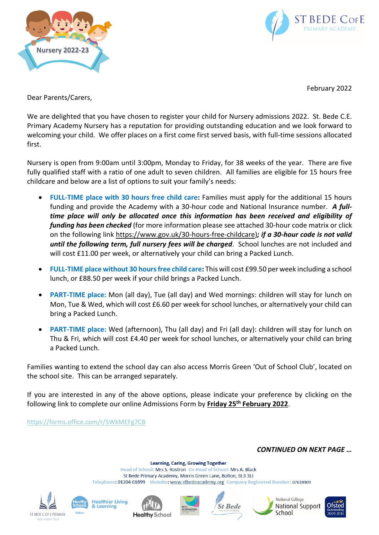



February 2022

Dear Parents/Carers,

We are delighted that you have chosen to register your child for Nursery admissions 2022. St. Bede C.E. Primary Academy Nursery has a reputation for providing outstanding education and we look forward to welcoming your child. We offer places on a first come first served basis, with full-time sessions allocated first.

Nursery is open from 9:00am until 3:00pm, Monday to Friday, for 38 weeks of the year. There are five fully qualified staff with a ratio of one adult to seven children. All families are eligible for 15 hours free childcare and below are a list of options to suit your family's needs:

- FULL-TIME place with 30 hours free child care: Families must apply for the additional 15 hours funding and provide the Academy with a 30-hour code and National Insurance number. *A fulltime place will only be allocated once this information has been received and eligibility of funding has been checked* (for more information please see attached 30-hour code matrix or click on the following link [https://www.gov.uk/30-hours-free-childcare\)](https://www.gov.uk/30-hours-free-childcare)*; if a 30-hour code is not valid until the following term, full nursery fees will be charged*. School lunches are not included and will cost £11.00 per week, or alternatively your child can bring a Packed Lunch.
- **FULL-TIME place without 30 hours free child care:** This will cost £99.50 per week including a school lunch, or £88.50 per week if your child brings a Packed Lunch.
- **PART-TIME place:** Mon (all day), Tue (all day) and Wed mornings: children will stay for lunch on Mon, Tue & Wed, which will cost £6.60 per week for school lunches, or alternatively your child can bring a Packed Lunch.
- **PART-TIME place:** Wed (afternoon), Thu (all day) and Fri (all day): children will stay for lunch on Thu & Fri, which will cost £4.40 per week for school lunches, or alternatively your child can bring a Packed Lunch.

Families wanting to extend the school day can also access Morris Green 'Out of School Club', located on the school site. This can be arranged separately.

If you are interested in any of the above options, please indicate your preference by clicking on the following link to complete our online Admissions Form by **Friday 25th February 2022**.

<https://forms.office.com/r/5WkMEFg7CB>

*CONTINUED ON NEXT PAGE …*

**Learning, Caring, Growing Together** Head of School: Mrs S. Rostron Co-Head of School: Mrs A. Black St Bede Primary Academy, Morris Green Lane, Bolton, BL3 3LJ Telephone: 01204 61899 Website: www.stbedeacademy.org Company Registered Number: 07628909